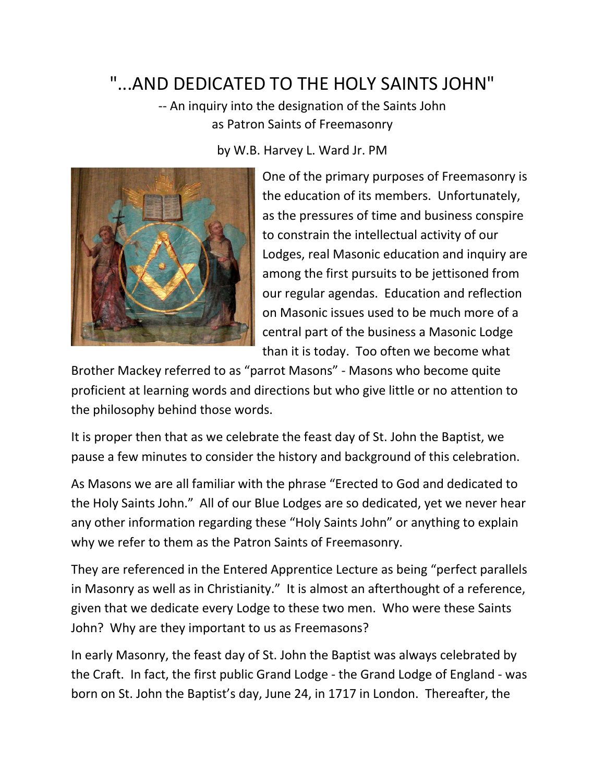## "...AND DEDICATED TO THE HOLY SAINTS JOHN"

-- An inquiry into the designation of the Saints John as Patron Saints of Freemasonry

by W.B. Harvey L. Ward Jr. PM



One of the primary purposes of Freemasonry is the education of its members. Unfortunately, as the pressures of time and business conspire to constrain the intellectual activity of our Lodges, real Masonic education and inquiry are among the first pursuits to be jettisoned from our regular agendas. Education and reflection on Masonic issues used to be much more of a central part of the business a Masonic Lodge than it is today. Too often we become what

Brother Mackey referred to as "parrot Masons" - Masons who become quite proficient at learning words and directions but who give little or no attention to the philosophy behind those words.

It is proper then that as we celebrate the feast day of St. John the Baptist, we pause a few minutes to consider the history and background of this celebration.

As Masons we are all familiar with the phrase "Erected to God and dedicated to the Holy Saints John." All of our Blue Lodges are so dedicated, yet we never hear any other information regarding these "Holy Saints John" or anything to explain why we refer to them as the Patron Saints of Freemasonry.

They are referenced in the Entered Apprentice Lecture as being "perfect parallels in Masonry as well as in Christianity." It is almost an afterthought of a reference, given that we dedicate every Lodge to these two men. Who were these Saints John? Why are they important to us as Freemasons?

In early Masonry, the feast day of St. John the Baptist was always celebrated by the Craft. In fact, the first public Grand Lodge - the Grand Lodge of England - was born on St. John the Baptist's day, June 24, in 1717 in London. Thereafter, the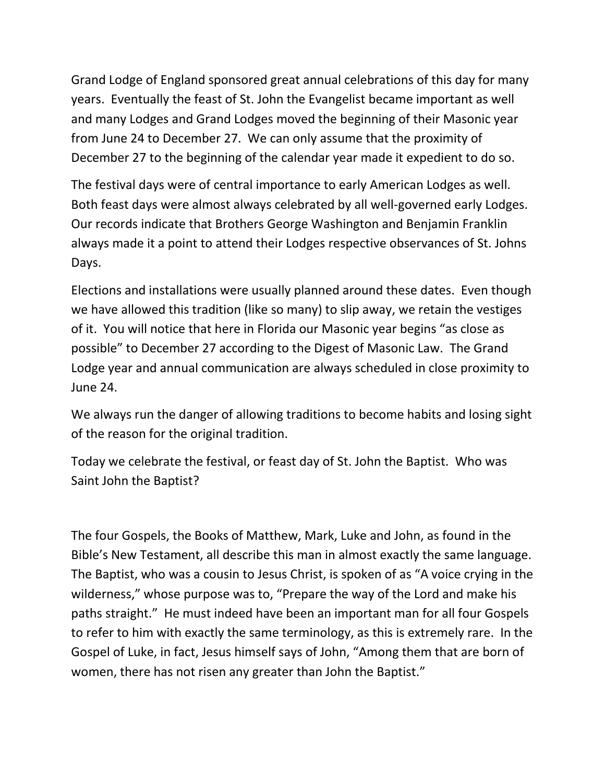Grand Lodge of England sponsored great annual celebrations of this day for many years. Eventually the feast of St. John the Evangelist became important as well and many Lodges and Grand Lodges moved the beginning of their Masonic year from June 24 to December 27. We can only assume that the proximity of December 27 to the beginning of the calendar year made it expedient to do so.

The festival days were of central importance to early American Lodges as well. Both feast days were almost always celebrated by all well-governed early Lodges. Our records indicate that Brothers George Washington and Benjamin Franklin always made it a point to attend their Lodges respective observances of St. Johns Days.

Elections and installations were usually planned around these dates. Even though we have allowed this tradition (like so many) to slip away, we retain the vestiges of it. You will notice that here in Florida our Masonic year begins "as close as possible" to December 27 according to the Digest of Masonic Law. The Grand Lodge year and annual communication are always scheduled in close proximity to June 24.

We always run the danger of allowing traditions to become habits and losing sight of the reason for the original tradition.

Today we celebrate the festival, or feast day of St. John the Baptist. Who was Saint John the Baptist?

The four Gospels, the Books of Matthew, Mark, Luke and John, as found in the Bible's New Testament, all describe this man in almost exactly the same language. The Baptist, who was a cousin to Jesus Christ, is spoken of as "A voice crying in the wilderness," whose purpose was to, "Prepare the way of the Lord and make his paths straight." He must indeed have been an important man for all four Gospels to refer to him with exactly the same terminology, as this is extremely rare. In the Gospel of Luke, in fact, Jesus himself says of John, "Among them that are born of women, there has not risen any greater than John the Baptist."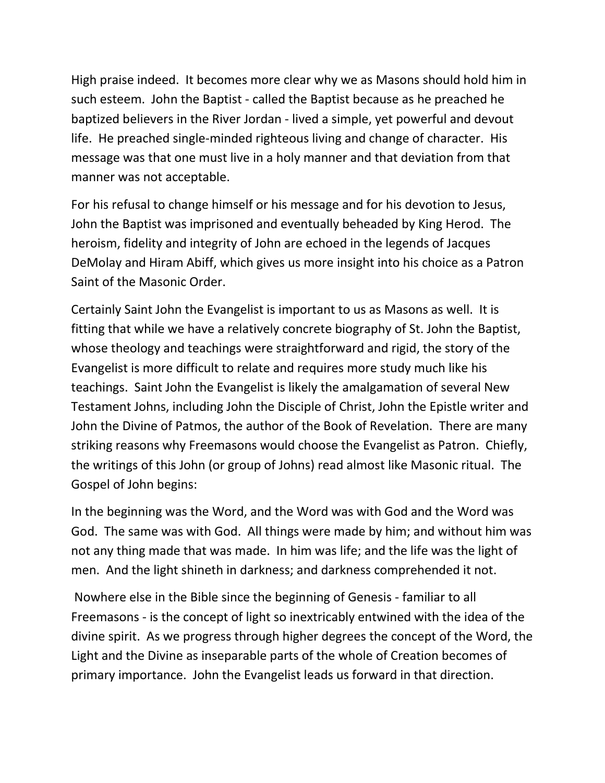High praise indeed. It becomes more clear why we as Masons should hold him in such esteem. John the Baptist - called the Baptist because as he preached he baptized believers in the River Jordan - lived a simple, yet powerful and devout life. He preached single-minded righteous living and change of character. His message was that one must live in a holy manner and that deviation from that manner was not acceptable.

For his refusal to change himself or his message and for his devotion to Jesus, John the Baptist was imprisoned and eventually beheaded by King Herod. The heroism, fidelity and integrity of John are echoed in the legends of Jacques DeMolay and Hiram Abiff, which gives us more insight into his choice as a Patron Saint of the Masonic Order.

Certainly Saint John the Evangelist is important to us as Masons as well. It is fitting that while we have a relatively concrete biography of St. John the Baptist, whose theology and teachings were straightforward and rigid, the story of the Evangelist is more difficult to relate and requires more study much like his teachings. Saint John the Evangelist is likely the amalgamation of several New Testament Johns, including John the Disciple of Christ, John the Epistle writer and John the Divine of Patmos, the author of the Book of Revelation. There are many striking reasons why Freemasons would choose the Evangelist as Patron. Chiefly, the writings of this John (or group of Johns) read almost like Masonic ritual. The Gospel of John begins:

In the beginning was the Word, and the Word was with God and the Word was God. The same was with God. All things were made by him; and without him was not any thing made that was made. In him was life; and the life was the light of men. And the light shineth in darkness; and darkness comprehended it not.

Nowhere else in the Bible since the beginning of Genesis - familiar to all Freemasons - is the concept of light so inextricably entwined with the idea of the divine spirit. As we progress through higher degrees the concept of the Word, the Light and the Divine as inseparable parts of the whole of Creation becomes of primary importance. John the Evangelist leads us forward in that direction.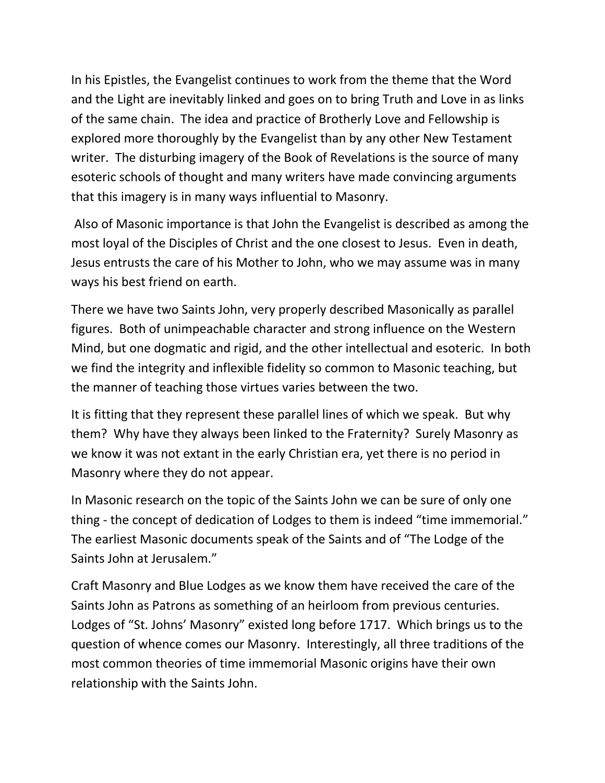In his Epistles, the Evangelist continues to work from the theme that the Word and the Light are inevitably linked and goes on to bring Truth and Love in as links of the same chain. The idea and practice of Brotherly Love and Fellowship is explored more thoroughly by the Evangelist than by any other New Testament writer. The disturbing imagery of the Book of Revelations is the source of many esoteric schools of thought and many writers have made convincing arguments that this imagery is in many ways influential to Masonry.

Also of Masonic importance is that John the Evangelist is described as among the most loyal of the Disciples of Christ and the one closest to Jesus. Even in death, Jesus entrusts the care of his Mother to John, who we may assume was in many ways his best friend on earth.

There we have two Saints John, very properly described Masonically as parallel figures. Both of unimpeachable character and strong influence on the Western Mind, but one dogmatic and rigid, and the other intellectual and esoteric. In both we find the integrity and inflexible fidelity so common to Masonic teaching, but the manner of teaching those virtues varies between the two.

It is fitting that they represent these parallel lines of which we speak. But why them? Why have they always been linked to the Fraternity? Surely Masonry as we know it was not extant in the early Christian era, yet there is no period in Masonry where they do not appear.

In Masonic research on the topic of the Saints John we can be sure of only one thing - the concept of dedication of Lodges to them is indeed "time immemorial." The earliest Masonic documents speak of the Saints and of "The Lodge of the Saints John at Jerusalem."

Craft Masonry and Blue Lodges as we know them have received the care of the Saints John as Patrons as something of an heirloom from previous centuries. Lodges of "St. Johns' Masonry" existed long before 1717. Which brings us to the question of whence comes our Masonry. Interestingly, all three traditions of the most common theories of time immemorial Masonic origins have their own relationship with the Saints John.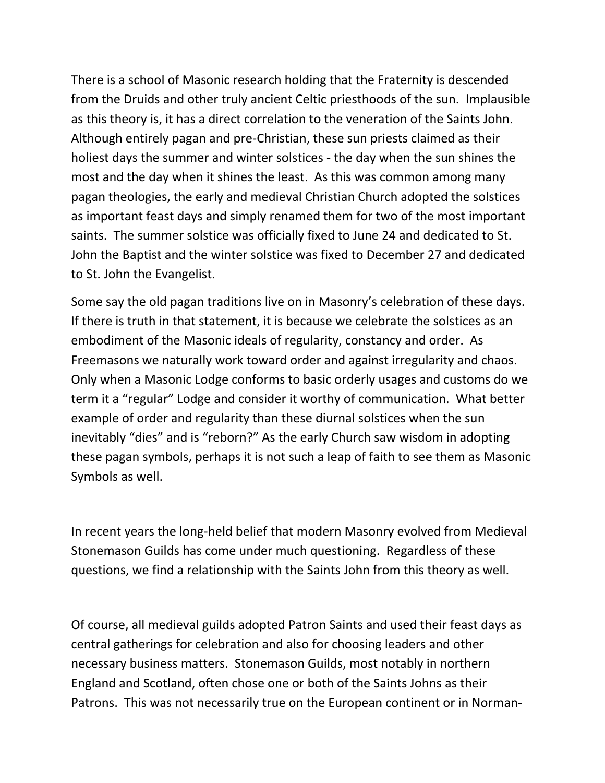There is a school of Masonic research holding that the Fraternity is descended from the Druids and other truly ancient Celtic priesthoods of the sun. Implausible as this theory is, it has a direct correlation to the veneration of the Saints John. Although entirely pagan and pre-Christian, these sun priests claimed as their holiest days the summer and winter solstices - the day when the sun shines the most and the day when it shines the least. As this was common among many pagan theologies, the early and medieval Christian Church adopted the solstices as important feast days and simply renamed them for two of the most important saints. The summer solstice was officially fixed to June 24 and dedicated to St. John the Baptist and the winter solstice was fixed to December 27 and dedicated to St. John the Evangelist.

Some say the old pagan traditions live on in Masonry's celebration of these days. If there is truth in that statement, it is because we celebrate the solstices as an embodiment of the Masonic ideals of regularity, constancy and order. As Freemasons we naturally work toward order and against irregularity and chaos. Only when a Masonic Lodge conforms to basic orderly usages and customs do we term it a "regular" Lodge and consider it worthy of communication. What better example of order and regularity than these diurnal solstices when the sun inevitably "dies" and is "reborn?" As the early Church saw wisdom in adopting these pagan symbols, perhaps it is not such a leap of faith to see them as Masonic Symbols as well.

In recent years the long-held belief that modern Masonry evolved from Medieval Stonemason Guilds has come under much questioning. Regardless of these questions, we find a relationship with the Saints John from this theory as well.

Of course, all medieval guilds adopted Patron Saints and used their feast days as central gatherings for celebration and also for choosing leaders and other necessary business matters. Stonemason Guilds, most notably in northern England and Scotland, often chose one or both of the Saints Johns as their Patrons. This was not necessarily true on the European continent or in Norman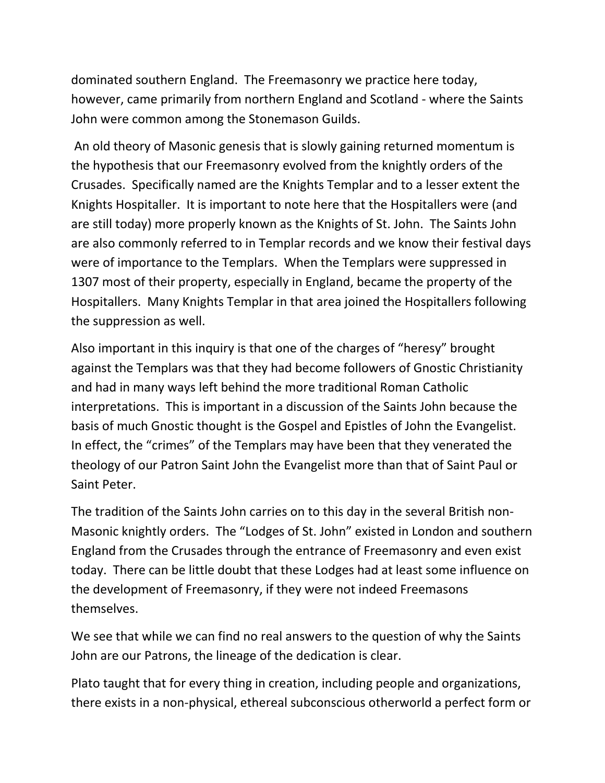dominated southern England. The Freemasonry we practice here today, however, came primarily from northern England and Scotland - where the Saints John were common among the Stonemason Guilds.

An old theory of Masonic genesis that is slowly gaining returned momentum is the hypothesis that our Freemasonry evolved from the knightly orders of the Crusades. Specifically named are the Knights Templar and to a lesser extent the Knights Hospitaller. It is important to note here that the Hospitallers were (and are still today) more properly known as the Knights of St. John. The Saints John are also commonly referred to in Templar records and we know their festival days were of importance to the Templars. When the Templars were suppressed in 1307 most of their property, especially in England, became the property of the Hospitallers. Many Knights Templar in that area joined the Hospitallers following the suppression as well.

Also important in this inquiry is that one of the charges of "heresy" brought against the Templars was that they had become followers of Gnostic Christianity and had in many ways left behind the more traditional Roman Catholic interpretations. This is important in a discussion of the Saints John because the basis of much Gnostic thought is the Gospel and Epistles of John the Evangelist. In effect, the "crimes" of the Templars may have been that they venerated the theology of our Patron Saint John the Evangelist more than that of Saint Paul or Saint Peter.

The tradition of the Saints John carries on to this day in the several British non-Masonic knightly orders. The "Lodges of St. John" existed in London and southern England from the Crusades through the entrance of Freemasonry and even exist today. There can be little doubt that these Lodges had at least some influence on the development of Freemasonry, if they were not indeed Freemasons themselves.

We see that while we can find no real answers to the question of why the Saints John are our Patrons, the lineage of the dedication is clear.

Plato taught that for every thing in creation, including people and organizations, there exists in a non-physical, ethereal subconscious otherworld a perfect form or